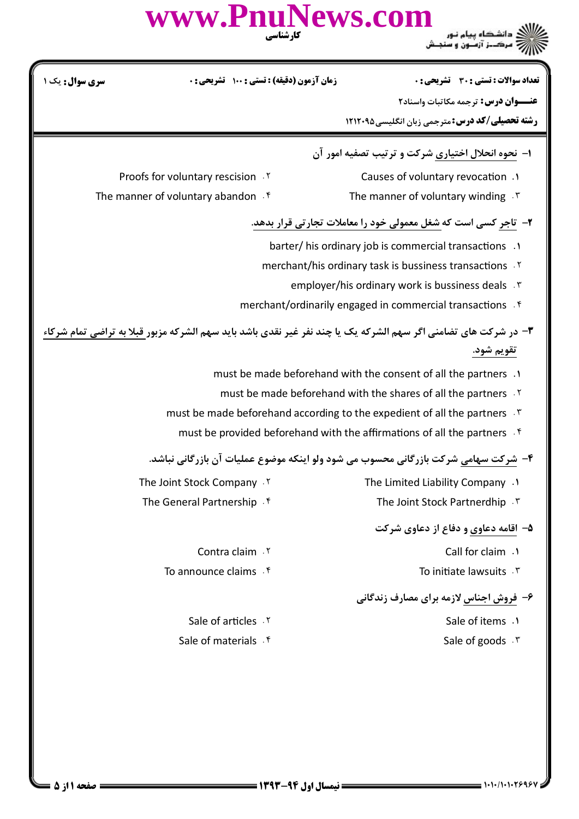|                                                                                                                         | www.PnuNews.com<br>کارشناسی                      |                                                                                                                                                                                                                                                                                                         |
|-------------------------------------------------------------------------------------------------------------------------|--------------------------------------------------|---------------------------------------------------------------------------------------------------------------------------------------------------------------------------------------------------------------------------------------------------------------------------------------------------------|
| سری سوال : یک ۱                                                                                                         | <b>زمان آزمون (دقیقه) : تستی : ۱۰۰ گشریحی: 0</b> | <b>تعداد سوالات : تستی : 30 ٪ تشریحی : 0</b><br>عنــوان درس: ترجمه مكاتبات واسناد٢<br><b>رشته تحصیلی/کد درس:</b> مترجمی زبان انگلیسی402121 1                                                                                                                                                            |
| Proofs for voluntary rescision . Y<br>The manner of voluntary abandon f                                                 |                                                  | ۱- نحوه انحلال اختیاری شرکت و ترتیب تصفیه امور آن<br>Causes of voluntary revocation .1<br>The manner of voluntary winding $\cdot$                                                                                                                                                                       |
|                                                                                                                         |                                                  | ۲- تاجر کسی است که شغل معمولی خود را معاملات تجارتی قرار بدهد.<br>barter/ his ordinary job is commercial transactions .1<br>merchant/his ordinary task is bussiness transactions .Y<br>employer/his ordinary work is bussiness deals .<br>merchant/ordinarily engaged in commercial transactions f      |
| <b>۳</b> - در شرکت های تضامنی اگر سهم الشرکه یک یا چند نفر غیر نقدی باشد باید سهم الشرکه مزبور قبلا به تراضی تمام شرکاء |                                                  | تقويم شود.<br>must be made beforehand with the consent of all the partners .1<br>must be made beforehand with the shares of all the partners . Y<br>must be made beforehand according to the expedient of all the partners F<br>must be provided beforehand with the affirmations of all the partners f |
| The Joint Stock Company . Y<br>The General Partnership . f                                                              |                                                  | ۴- شرکت سهامی شرکت بازرگانی محسوب می شود ولو اینکه موضوع عملیات آن بازرگانی نباشد.<br>The Limited Liability Company .1<br>The Joint Stock Partnerdhip . ٣                                                                                                                                               |
| Contra claim . Y<br>To announce claims f                                                                                |                                                  | ۵- اقامه دعاوی و دفاع از دعاوی شرکت<br>Call for claim . \<br>To initiate lawsuits . \v<br>۶- فروش اجناس لازمه برای مصارف زندگانی                                                                                                                                                                        |
| Sale of articles . Y<br>Sale of materials . f                                                                           |                                                  | Sale of items .1<br>Sale of goods . \v                                                                                                                                                                                                                                                                  |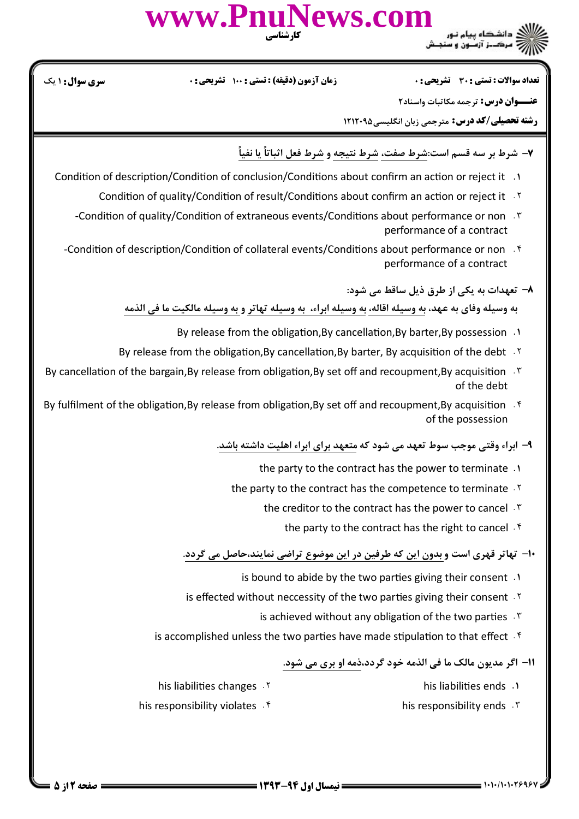

نعداد سوالات : تستي : 30 تشريحي : . زمان آزمون (دقيقه) : تستي : 100 تشريحي : 0 سري سوال : 1 يك

**عنـــوان درس:** ترجمه مكاتبات واسناد٢

**رشته تحصیلی/کد درس:** مترجمی زبان انگلیسی1۲۱۲۰۹۵

- ۷– شرط بر سه قسم است:شرط صفت، شرط نتيجه و شرط فعل اثباتاً يا نفياً
- 1. Condition of description/Condition of conclusion/Conditions about confirm an action or reject it
	- Condition of quality/Condition of result/Conditions about confirm an action or reject it  $\cdot$  \*
	- -Condition of quality/Condition of extraneous events/Conditions about performance or non F performance of a contract
	- -Condition of description/Condition of collateral events/Conditions about performance or non . f performance of a contract
		- ٨– تعهدات به يكي از طرق ذيل ساقط مي شود:

به وسيله وفاي به عهد، به وسيله اقاله، به وسيله ابراء، به وسيله تهاتر و به وسيله مالكيت ما في الذمه

- 1. By release from the obligation, By cancellation, By barter, By possession
- By release from the obligation, By cancellation, By barter, By acquisition of the debt  $\cdot$  \*
- By cancellation of the bargain, By release from obligation, By set off and recoupment, By acquisition  $\cdot$  \* of the debt
- By fulfilment of the obligation,By release from obligation,By set off and recoupment,By acquisition  $\mathfrak{S}$ of the possession

۹– ابراء وقتی موجب سوط تعهد می شود که متعهد برای ابراء اهلیت داشته باشد.

- the party to the contract has the power to terminate .
- the party to the contract has the competence to terminate  $\cdot$ <sup>Y</sup>
	- the creditor to the contract has the power to cancel
		- the party to the contract has the right to cancel  $\cdot$ <sup>6</sup>

۱۰− تهاتر قهری است و بدون این که طرفین در این موضوع تراضی نمایند،حاصل می گردد.

- is bound to abide by the two parties giving their consent .
- is effected without neccessity of the two parties giving their consent  $\cdot$ <sup>r</sup>
	- is achieved without any obligation of the two parties  $\cdot$ "
- is accomplished unless the two parties have made stipulation to that effect  $\cdot$  f

## 11- اگر مديون مالک ما في الذمه خود گردد،ذمه او بري مي شود.

- 1. his liabilities ends . ٢.
- his liabilities changes . Y
- his responsibility violates  $\cdot$ <sup>6</sup> . This responsibility ends . T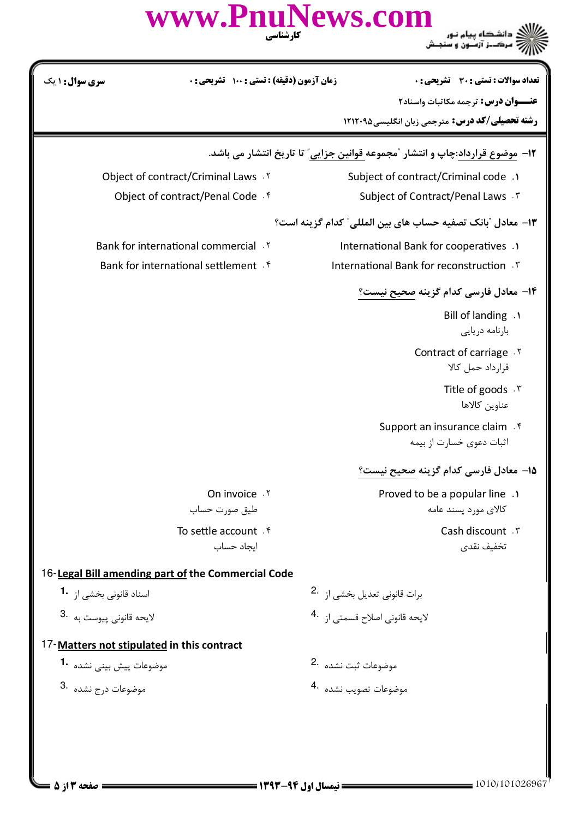## www.PnuNews.com ر .<br>اگر دانشگاه پیام نور<br>۱۸۸۸ مرک ز آزمون و سنجش تعداد سوالات : تستى : 30 - تشريحي : 0 **سری سوال :** ۱ یک **زمان آزمون (دقیقه) : تستی : ۱۰۰ تشریحی: 0** عنــوان درس: ترجمه مكاتبات واسناد٢ **رشته تحصیلی/کد درس:** مترجمی زبان انگلیسی401212 ۱۲- موضوع قرارداد:چاپ و انتشار ″مجموعه قوانین جزایی″ تا تاریخ انتشار می باشد. Object of contract/Criminal Laws . Y Subject of contract/Criminal code .1 Object of contract/Penal Code . f Subject of Contract/Penal Laws . ٣ ۱۳- معادل "بانک تصفیه حساب های بین المللی" کدام گزینه است؟ Bank for international commercial . Y International Bank for cooperatives .1 Bank for international settlement f International Bank for reconstruction . ٣ <mark>۱۴</mark>– معادل فارسی کدام گزینه صحیح نیست؟ Bill of landing . بارنامه دريايى Contract of carriage . Y قرارداد حمل کالا Title of goods . \v عناوين كالاها Support an insurance claim . f اثبات دعوی خسارت از بیمه 1۵- معادل فارس*ی* کدام گزینه صحیح نیست؟ Proved to be a popular line . On invoice . Y طيق صورت حساب كالاي مورد يسند عامه To settle account . f Cash discount . ٣ ايجاد حساب تخفيف نقدى 16-Legal Bill amending part of the Commercial Code

- اسناد قانونی بخشی از **1**۰
- لايحه قانوني پيوست به 3.

## 17-Matters not stipulated in this contract

- موضوعات پیش بینی نشده 1.
- موضوعات درج نشده 8.
- برات قانونی تعدیل بخشی از 2. لايحه قانوني اصلاح قسمتي از 4.
- موضوعات ثبت نشده 2.
- موضوعات تصويب نشده .4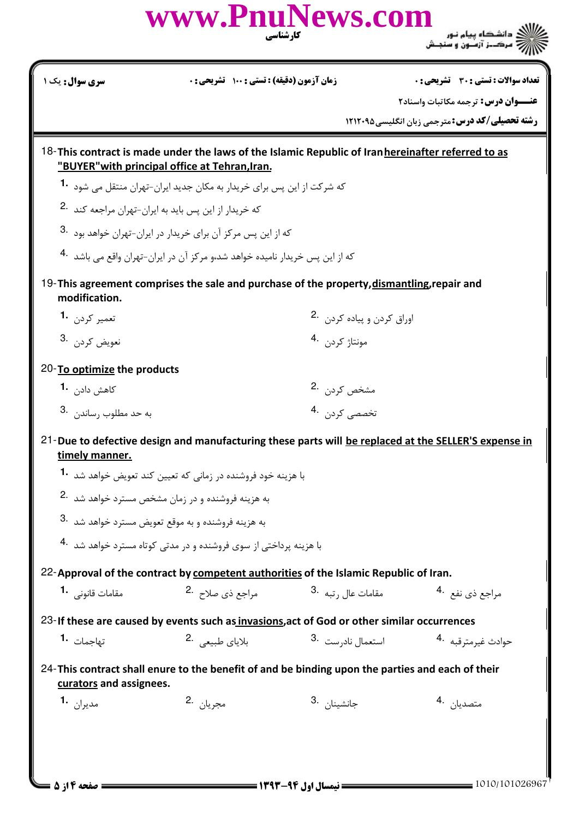|                                                                                                                             | www.PnuNews.com<br>کار شناسی                                                                                                                         |                                           | ر دانشگاه پیام نور<br>۱۳۸۸ - مرکــز آزمــون و سنجــش   |  |  |
|-----------------------------------------------------------------------------------------------------------------------------|------------------------------------------------------------------------------------------------------------------------------------------------------|-------------------------------------------|--------------------------------------------------------|--|--|
| سری سوال : یک ۱                                                                                                             | زمان آزمون (دقیقه) : تستی : 100 تشریحی : 0                                                                                                           |                                           | تعداد سوالات : تستي : 30 قشريحي : 0                    |  |  |
|                                                                                                                             |                                                                                                                                                      |                                           | عنــوان درس: ترجمه مكاتبات واسناد٢                     |  |  |
|                                                                                                                             |                                                                                                                                                      |                                           | <b>رشته تحصیلی/کد درس: مترجمی زبان انگلیسی401212 ا</b> |  |  |
|                                                                                                                             | 18-This contract is made under the laws of the Islamic Republic of Iran hereinafter referred to as<br>"BUYER" with principal office at Tehran, Iran. |                                           |                                                        |  |  |
|                                                                                                                             | که شرکت از این پس برای خریدار به مکان جدید ایران-تهران منتقل می شود <b>1</b> ۰                                                                       |                                           |                                                        |  |  |
|                                                                                                                             | که خریدار از این پس باید به ایران-تهران مراجعه کند 2.                                                                                                |                                           |                                                        |  |  |
|                                                                                                                             | که از این پس مرکز آن برای خریدار در ایران-تهران خواهد بود <sup>.3</sup>                                                                              |                                           |                                                        |  |  |
|                                                                                                                             | که از این پس خریدار نامیده خواهد شد،و مرکز آن در ایران-تهران واقع می باشد <sup>4</sup> ۰                                                             |                                           |                                                        |  |  |
| modification.                                                                                                               | 19-This agreement comprises the sale and purchase of the property, dismantling, repair and                                                           |                                           |                                                        |  |  |
| تعمير كردن 1.                                                                                                               |                                                                                                                                                      | اوراق كردن و پياده كردن 2.                |                                                        |  |  |
| نعويض كردن .3                                                                                                               |                                                                                                                                                      | مونتاژ کردن 4.                            |                                                        |  |  |
| 20-To optimize the products                                                                                                 |                                                                                                                                                      |                                           |                                                        |  |  |
| كاهش داد <sub>ن</sub> <b>1</b> ۰                                                                                            |                                                                                                                                                      | مشخص کردن۔2                               |                                                        |  |  |
| 4. حد مطلوب , ساندن 3.                                                                                                      |                                                                                                                                                      | ۔<br>تخصصی کردن ۔4                        |                                                        |  |  |
| timely manner.                                                                                                              | 21-Due to defective design and manufacturing these parts will be replaced at the SELLER'S expense in                                                 |                                           |                                                        |  |  |
|                                                                                                                             | با هزینه خود فروشنده در زمانی که تعیین کند تعویض خواهد شد. <b>1</b>                                                                                  |                                           |                                                        |  |  |
|                                                                                                                             | به هزینه فروشنده و در زمان مشخص مسترد خواهد شد .2                                                                                                    |                                           |                                                        |  |  |
|                                                                                                                             | به هزینه فروشنده و به موقع تعویض مسترد خواهد شد 3.                                                                                                   |                                           |                                                        |  |  |
| با هزینه پرداختی از سوی فروشنده و در مدتی کوتاه مسترد خواهد شد . 4                                                          |                                                                                                                                                      |                                           |                                                        |  |  |
|                                                                                                                             | 22-Approval of the contract by competent authorities of the Islamic Republic of Iran.                                                                |                                           |                                                        |  |  |
| مقامات قانونی <b>1</b> ۰                                                                                                    | مراجع ذي صلاح 2.                                                                                                                                     | مقامات عال , تبه <sup>.3</sup>            | مراجع ذي نفع <sup>4</sup> ۰                            |  |  |
| 23-If these are caused by events such as invasions, act of God or other similar occurrences                                 |                                                                                                                                                      |                                           |                                                        |  |  |
| تهاجمات 1۰                                                                                                                  | بلاياى طبيعى 2.                                                                                                                                      | استعمال ناد <sub>ر</sub> ست <sup>.3</sup> | حوادث غيرمترقبه 4.                                     |  |  |
| 24-This contract shall enure to the benefit of and be binding upon the parties and each of their<br>curators and assignees. |                                                                                                                                                      |                                           |                                                        |  |  |
| مديران 1.                                                                                                                   | مجريان 2.                                                                                                                                            | جانشينا <sub>ن</sub> 3.                   | متصديا <sub>ن</sub> .4                                 |  |  |
|                                                                                                                             |                                                                                                                                                      |                                           |                                                        |  |  |